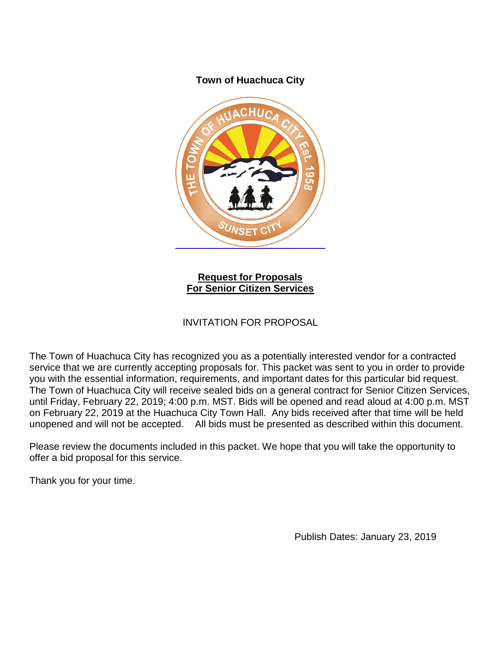### **Town of Huachuca City**



**Request for Proposals For Senior Citizen Services**

## INVITATION FOR PROPOSAL

The Town of Huachuca City has recognized you as a potentially interested vendor for a contracted service that we are currently accepting proposals for. This packet was sent to you in order to provide you with the essential information, requirements, and important dates for this particular bid request. The Town of Huachuca City will receive sealed bids on a general contract for Senior Citizen Services, until Friday, February 22, 2019; 4:00 p.m. MST. Bids will be opened and read aloud at 4:00 p.m. MST on February 22, 2019 at the Huachuca City Town Hall. Any bids received after that time will be held unopened and will not be accepted. All bids must be presented as described within this document.

Please review the documents included in this packet. We hope that you will take the opportunity to offer a bid proposal for this service.

Thank you for your time.

Publish Dates: January 23, 2019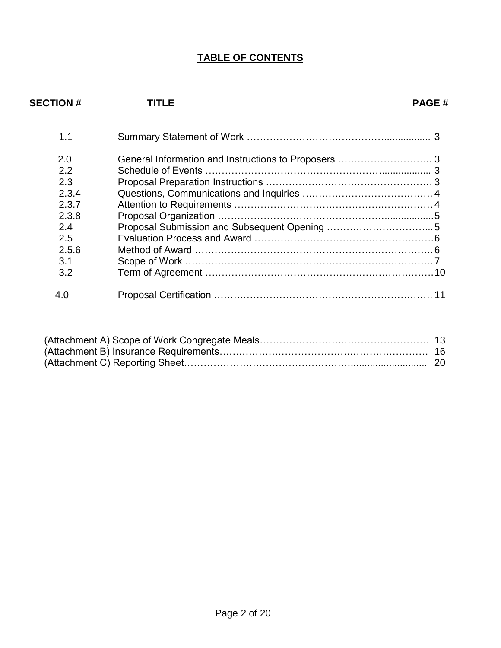# **TABLE OF CONTENTS**

| <b>SECTION#</b> | TITLE | <b>PAGE#</b> |
|-----------------|-------|--------------|
| 1.1             |       |              |
| 2.0             |       |              |
| 2.2             |       |              |
| 2.3             |       |              |
| 2.3.4           |       |              |
| 2.3.7           |       |              |
| 2.3.8           |       |              |
| 2.4             |       |              |
| 2.5             |       |              |
| 2.5.6           |       |              |
| 3.1             |       |              |
| 3.2             |       |              |
| 4.0             |       |              |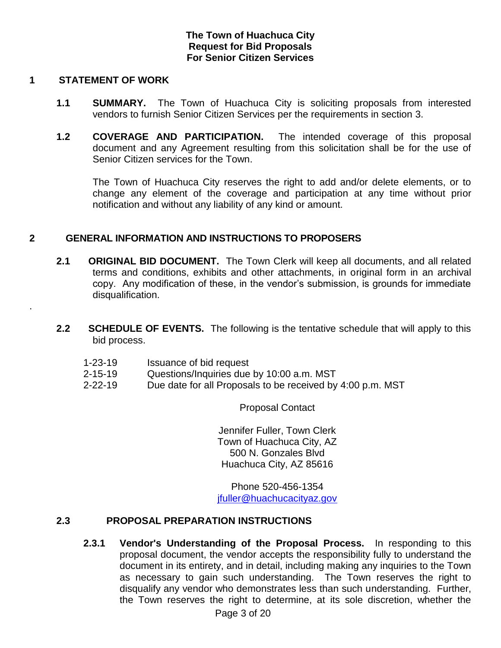### **The Town of Huachuca City Request for Bid Proposals For Senior Citizen Services**

#### **1 STATEMENT OF WORK**

.

- **1.1 SUMMARY.** The Town of Huachuca City is soliciting proposals from interested vendors to furnish Senior Citizen Services per the requirements in section 3.
- **1.2 COVERAGE AND PARTICIPATION.** The intended coverage of this proposal document and any Agreement resulting from this solicitation shall be for the use of Senior Citizen services for the Town.

The Town of Huachuca City reserves the right to add and/or delete elements, or to change any element of the coverage and participation at any time without prior notification and without any liability of any kind or amount.

### **2 GENERAL INFORMATION AND INSTRUCTIONS TO PROPOSERS**

- **2.1 ORIGINAL BID DOCUMENT.** The Town Clerk will keep all documents, and all related terms and conditions, exhibits and other attachments, in original form in an archival copy. Any modification of these, in the vendor's submission, is grounds for immediate disqualification.
- **2.2 SCHEDULE OF EVENTS.** The following is the tentative schedule that will apply to this bid process.
	- 1-23-19 Issuance of bid request
	- 2-15-19 Questions/Inquiries due by 10:00 a.m. MST
	- 2-22-19 Due date for all Proposals to be received by 4:00 p.m. MST

Proposal Contact

Jennifer Fuller, Town Clerk Town of Huachuca City, AZ 500 N. Gonzales Blvd Huachuca City, AZ 85616

Phone 520-456-1354 [jfuller@huachucacityaz.gov](mailto:jfuller@huachucacityaz.gov)

### **2.3 PROPOSAL PREPARATION INSTRUCTIONS**

**2.3.1 Vendor's Understanding of the Proposal Process.** In responding to this proposal document, the vendor accepts the responsibility fully to understand the document in its entirety, and in detail, including making any inquiries to the Town as necessary to gain such understanding. The Town reserves the right to disqualify any vendor who demonstrates less than such understanding. Further, the Town reserves the right to determine, at its sole discretion, whether the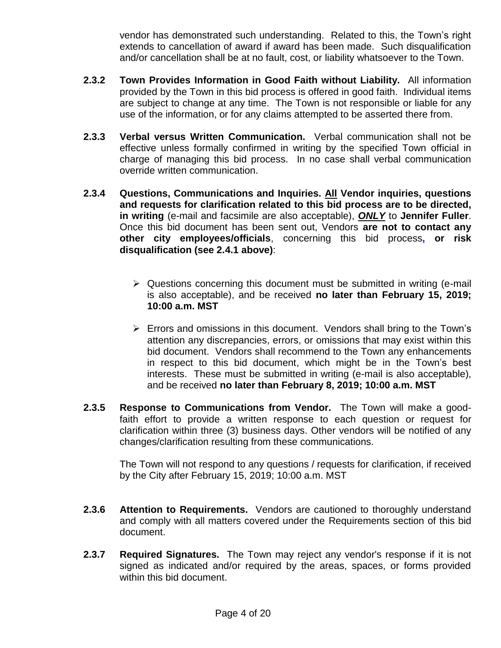vendor has demonstrated such understanding. Related to this, the Town's right extends to cancellation of award if award has been made. Such disqualification and/or cancellation shall be at no fault, cost, or liability whatsoever to the Town.

- **2.3.2 Town Provides Information in Good Faith without Liability.** All information provided by the Town in this bid process is offered in good faith. Individual items are subject to change at any time. The Town is not responsible or liable for any use of the information, or for any claims attempted to be asserted there from.
- **2.3.3 Verbal versus Written Communication.** Verbal communication shall not be effective unless formally confirmed in writing by the specified Town official in charge of managing this bid process. In no case shall verbal communication override written communication.
- **2.3.4 Questions, Communications and Inquiries. All Vendor inquiries, questions and requests for clarification related to this bid process are to be directed, in writing** (e-mail and facsimile are also acceptable), *ONLY* to **Jennifer Fuller**. Once this bid document has been sent out, Vendors **are not to contact any other city employees/officials**, concerning this bid process**, or risk disqualification (see 2.4.1 above)**:
	- $\triangleright$  Questions concerning this document must be submitted in writing (e-mail is also acceptable), and be received **no later than February 15, 2019; 10:00 a.m. MST**
	- Errors and omissions in this document. Vendors shall bring to the Town's attention any discrepancies, errors, or omissions that may exist within this bid document. Vendors shall recommend to the Town any enhancements in respect to this bid document, which might be in the Town's best interests. These must be submitted in writing (e-mail is also acceptable), and be received **no later than February 8, 2019; 10:00 a.m. MST**
- **2.3.5 Response to Communications from Vendor.** The Town will make a goodfaith effort to provide a written response to each question or request for clarification within three (3) business days. Other vendors will be notified of any changes/clarification resulting from these communications.

The Town will not respond to any questions / requests for clarification, if received by the City after February 15, 2019; 10:00 a.m. MST

- **2.3.6 Attention to Requirements.** Vendors are cautioned to thoroughly understand and comply with all matters covered under the Requirements section of this bid document.
- **2.3.7 Required Signatures.** The Town may reject any vendor's response if it is not signed as indicated and/or required by the areas, spaces, or forms provided within this bid document.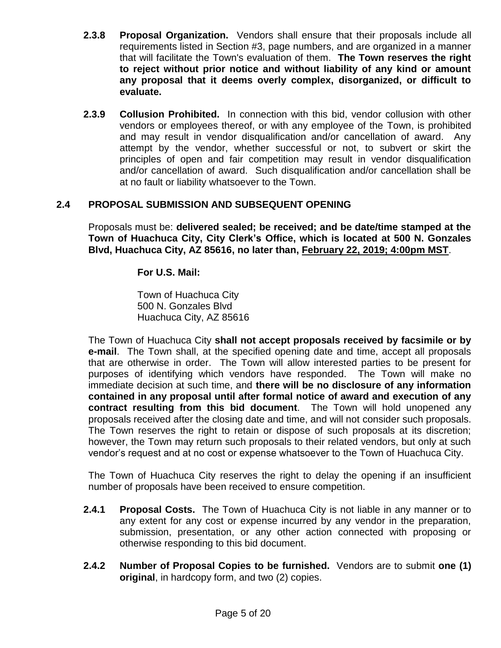- **2.3.8 Proposal Organization.** Vendors shall ensure that their proposals include all requirements listed in Section #3, page numbers, and are organized in a manner that will facilitate the Town's evaluation of them. **The Town reserves the right to reject without prior notice and without liability of any kind or amount any proposal that it deems overly complex, disorganized, or difficult to evaluate.**
- **2.3.9 Collusion Prohibited.** In connection with this bid, vendor collusion with other vendors or employees thereof, or with any employee of the Town, is prohibited and may result in vendor disqualification and/or cancellation of award. Any attempt by the vendor, whether successful or not, to subvert or skirt the principles of open and fair competition may result in vendor disqualification and/or cancellation of award. Such disqualification and/or cancellation shall be at no fault or liability whatsoever to the Town.

## **2.4 PROPOSAL SUBMISSION AND SUBSEQUENT OPENING**

Proposals must be: **delivered sealed; be received; and be date/time stamped at the Town of Huachuca City, City Clerk's Office, which is located at 500 N. Gonzales Blvd, Huachuca City, AZ 85616, no later than, February 22, 2019; 4:00pm MST**.

**For U.S. Mail:**

Town of Huachuca City 500 N. Gonzales Blvd Huachuca City, AZ 85616

The Town of Huachuca City **shall not accept proposals received by facsimile or by e-mail**. The Town shall, at the specified opening date and time, accept all proposals that are otherwise in order. The Town will allow interested parties to be present for purposes of identifying which vendors have responded. The Town will make no immediate decision at such time, and **there will be no disclosure of any information contained in any proposal until after formal notice of award and execution of any contract resulting from this bid document**. The Town will hold unopened any proposals received after the closing date and time, and will not consider such proposals. The Town reserves the right to retain or dispose of such proposals at its discretion; however, the Town may return such proposals to their related vendors, but only at such vendor's request and at no cost or expense whatsoever to the Town of Huachuca City.

The Town of Huachuca City reserves the right to delay the opening if an insufficient number of proposals have been received to ensure competition.

- **2.4.1 Proposal Costs.** The Town of Huachuca City is not liable in any manner or to any extent for any cost or expense incurred by any vendor in the preparation, submission, presentation, or any other action connected with proposing or otherwise responding to this bid document.
- **2.4.2 Number of Proposal Copies to be furnished.** Vendors are to submit **one (1) original**, in hardcopy form, and two (2) copies.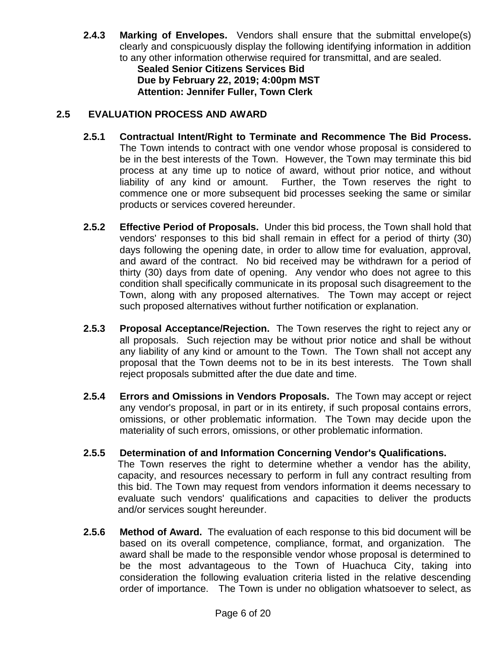**2.4.3 Marking of Envelopes.** Vendors shall ensure that the submittal envelope(s) clearly and conspicuously display the following identifying information in addition to any other information otherwise required for transmittal, and are sealed.

**Sealed Senior Citizens Services Bid Due by February 22, 2019; 4:00pm MST Attention: Jennifer Fuller, Town Clerk**

## **2.5 EVALUATION PROCESS AND AWARD**

- **2.5.1 Contractual Intent/Right to Terminate and Recommence The Bid Process.**  The Town intends to contract with one vendor whose proposal is considered to be in the best interests of the Town. However, the Town may terminate this bid process at any time up to notice of award, without prior notice, and without liability of any kind or amount. Further, the Town reserves the right to commence one or more subsequent bid processes seeking the same or similar products or services covered hereunder.
- **2.5.2 Effective Period of Proposals.** Under this bid process, the Town shall hold that vendors' responses to this bid shall remain in effect for a period of thirty (30) days following the opening date, in order to allow time for evaluation, approval, and award of the contract. No bid received may be withdrawn for a period of thirty (30) days from date of opening. Any vendor who does not agree to this condition shall specifically communicate in its proposal such disagreement to the Town, along with any proposed alternatives. The Town may accept or reject such proposed alternatives without further notification or explanation.
- **2.5.3 Proposal Acceptance/Rejection.** The Town reserves the right to reject any or all proposals. Such rejection may be without prior notice and shall be without any liability of any kind or amount to the Town. The Town shall not accept any proposal that the Town deems not to be in its best interests. The Town shall reject proposals submitted after the due date and time.
- **2.5.4 Errors and Omissions in Vendors Proposals.** The Town may accept or reject any vendor's proposal, in part or in its entirety, if such proposal contains errors, omissions, or other problematic information. The Town may decide upon the materiality of such errors, omissions, or other problematic information.

## **2.5.5 Determination of and Information Concerning Vendor's Qualifications.**

The Town reserves the right to determine whether a vendor has the ability, capacity, and resources necessary to perform in full any contract resulting from this bid. The Town may request from vendors information it deems necessary to evaluate such vendors' qualifications and capacities to deliver the products and/or services sought hereunder.

**2.5.6 Method of Award.** The evaluation of each response to this bid document will be based on its overall competence, compliance, format, and organization. The award shall be made to the responsible vendor whose proposal is determined to be the most advantageous to the Town of Huachuca City, taking into consideration the following evaluation criteria listed in the relative descending order of importance. The Town is under no obligation whatsoever to select, as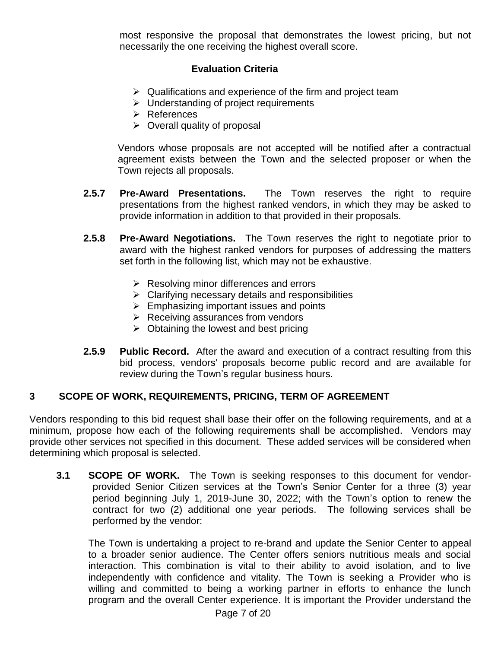most responsive the proposal that demonstrates the lowest pricing, but not necessarily the one receiving the highest overall score.

### **Evaluation Criteria**

- $\triangleright$  Qualifications and experience of the firm and project team
- $\triangleright$  Understanding of project requirements
- $\triangleright$  References
- $\triangleright$  Overall quality of proposal

Vendors whose proposals are not accepted will be notified after a contractual agreement exists between the Town and the selected proposer or when the Town rejects all proposals.

- **2.5.7 Pre-Award Presentations.** The Town reserves the right to require presentations from the highest ranked vendors, in which they may be asked to provide information in addition to that provided in their proposals.
- **2.5.8 Pre-Award Negotiations.** The Town reserves the right to negotiate prior to award with the highest ranked vendors for purposes of addressing the matters set forth in the following list, which may not be exhaustive.
	- $\triangleright$  Resolving minor differences and errors
	- $\triangleright$  Clarifying necessary details and responsibilities
	- $\triangleright$  Emphasizing important issues and points
	- $\triangleright$  Receiving assurances from vendors
	- $\triangleright$  Obtaining the lowest and best pricing
- **2.5.9 Public Record.** After the award and execution of a contract resulting from this bid process, vendors' proposals become public record and are available for review during the Town's regular business hours.

### **3 SCOPE OF WORK, REQUIREMENTS, PRICING, TERM OF AGREEMENT**

Vendors responding to this bid request shall base their offer on the following requirements, and at a minimum, propose how each of the following requirements shall be accomplished. Vendors may provide other services not specified in this document. These added services will be considered when determining which proposal is selected.

**3.1 SCOPE OF WORK.** The Town is seeking responses to this document for vendorprovided Senior Citizen services at the Town's Senior Center for a three (3) year period beginning July 1, 2019-June 30, 2022; with the Town's option to renew the contract for two (2) additional one year periods. The following services shall be performed by the vendor:

The Town is undertaking a project to re-brand and update the Senior Center to appeal to a broader senior audience. The Center offers seniors nutritious meals and social interaction. This combination is vital to their ability to avoid isolation, and to live independently with confidence and vitality. The Town is seeking a Provider who is willing and committed to being a working partner in efforts to enhance the lunch program and the overall Center experience. It is important the Provider understand the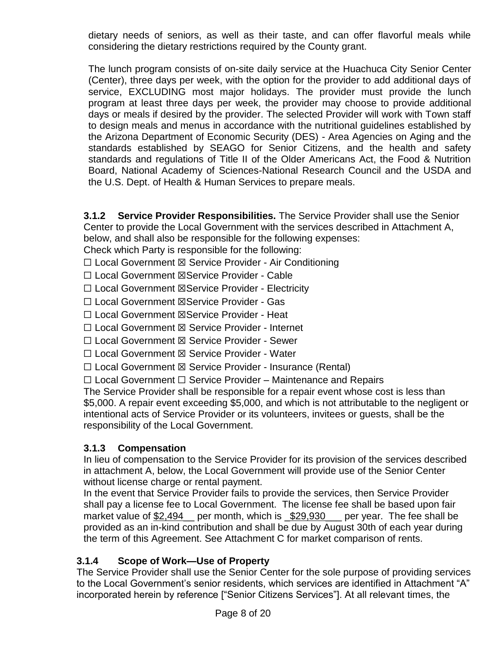dietary needs of seniors, as well as their taste, and can offer flavorful meals while considering the dietary restrictions required by the County grant.

The lunch program consists of on-site daily service at the Huachuca City Senior Center (Center), three days per week, with the option for the provider to add additional days of service, EXCLUDING most major holidays. The provider must provide the lunch program at least three days per week, the provider may choose to provide additional days or meals if desired by the provider. The selected Provider will work with Town staff to design meals and menus in accordance with the nutritional guidelines established by the Arizona Department of Economic Security (DES) - Area Agencies on Aging and the standards established by SEAGO for Senior Citizens, and the health and safety standards and regulations of Title II of the Older Americans Act, the Food & Nutrition Board, National Academy of Sciences-National Research Council and the USDA and the U.S. Dept. of Health & Human Services to prepare meals.

**3.1.2 Service Provider Responsibilities.** The Service Provider shall use the Senior Center to provide the Local Government with the services described in Attachment A,

below, and shall also be responsible for the following expenses:

Check which Party is responsible for the following:

☐ Local Government ☒ Service Provider - Air Conditioning

☐ Local Government ☒Service Provider - Cable

☐ Local Government ☒Service Provider - Electricity

☐ Local Government ☒Service Provider - Gas

☐ Local Government ☒Service Provider - Heat

☐ Local Government ☒ Service Provider - Internet

☐ Local Government ☒ Service Provider - Sewer

☐ Local Government ☒ Service Provider - Water

☐ Local Government ☒ Service Provider - Insurance (Rental)

☐ Local Government ☐ Service Provider – Maintenance and Repairs

The Service Provider shall be responsible for a repair event whose cost is less than \$5,000. A repair event exceeding \$5,000, and which is not attributable to the negligent or intentional acts of Service Provider or its volunteers, invitees or guests, shall be the responsibility of the Local Government.

## **3.1.3 Compensation**

In lieu of compensation to the Service Provider for its provision of the services described in attachment A, below, the Local Government will provide use of the Senior Center without license charge or rental payment.

In the event that Service Provider fails to provide the services, then Service Provider shall pay a license fee to Local Government. The license fee shall be based upon fair market value of \$2,494\_ per month, which is <u>\$29,930</u> per year. The fee shall be provided as an in-kind contribution and shall be due by August 30th of each year during the term of this Agreement. See Attachment C for market comparison of rents.

## **3.1.4 Scope of Work—Use of Property**

The Service Provider shall use the Senior Center for the sole purpose of providing services to the Local Government's senior residents, which services are identified in Attachment "A" incorporated herein by reference ["Senior Citizens Services"]. At all relevant times, the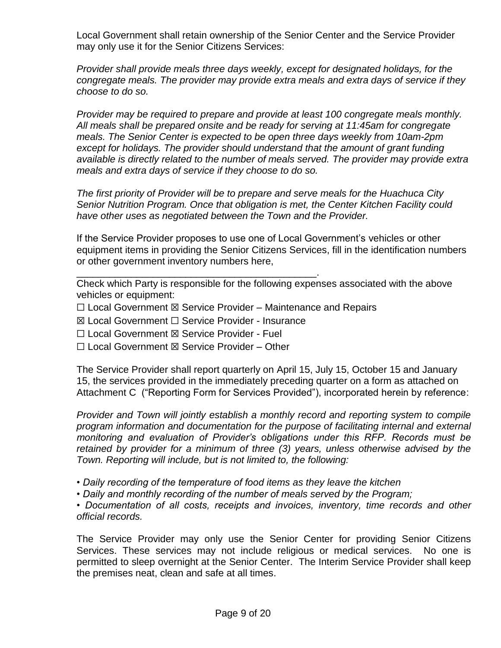Local Government shall retain ownership of the Senior Center and the Service Provider may only use it for the Senior Citizens Services:

*Provider shall provide meals three days weekly, except for designated holidays, for the congregate meals. The provider may provide extra meals and extra days of service if they choose to do so.*

*Provider may be required to prepare and provide at least 100 congregate meals monthly. All meals shall be prepared onsite and be ready for serving at 11:45am for congregate meals. The Senior Center is expected to be open three days weekly from 10am-2pm except for holidays. The provider should understand that the amount of grant funding available is directly related to the number of meals served. The provider may provide extra meals and extra days of service if they choose to do so.*

*The first priority of Provider will be to prepare and serve meals for the Huachuca City Senior Nutrition Program. Once that obligation is met, the Center Kitchen Facility could have other uses as negotiated between the Town and the Provider.*

If the Service Provider proposes to use one of Local Government's vehicles or other equipment items in providing the Senior Citizens Services, fill in the identification numbers or other government inventory numbers here,

Check which Party is responsible for the following expenses associated with the above vehicles or equipment:

 $\Box$  Local Government  $\boxtimes$  Service Provider – Maintenance and Repairs

☒ Local Government ☐ Service Provider - Insurance

\_\_\_\_\_\_\_\_\_\_\_\_\_\_\_\_\_\_\_\_\_\_\_\_\_\_\_\_\_\_\_\_\_\_\_\_\_\_\_\_\_\_\_\_.

- ☐ Local Government ☒ Service Provider Fuel
- ☐ Local Government ☒ Service Provider Other

The Service Provider shall report quarterly on April 15, July 15, October 15 and January 15, the services provided in the immediately preceding quarter on a form as attached on Attachment C ("Reporting Form for Services Provided"), incorporated herein by reference:

*Provider and Town will jointly establish a monthly record and reporting system to compile program information and documentation for the purpose of facilitating internal and external monitoring and evaluation of Provider's obligations under this RFP. Records must be retained by provider for a minimum of three (3) years, unless otherwise advised by the Town. Reporting will include, but is not limited to, the following:* 

*• Daily recording of the temperature of food items as they leave the kitchen*

*• Daily and monthly recording of the number of meals served by the Program;* 

*• Documentation of all costs, receipts and invoices, inventory, time records and other official records.*

The Service Provider may only use the Senior Center for providing Senior Citizens Services. These services may not include religious or medical services. No one is permitted to sleep overnight at the Senior Center. The Interim Service Provider shall keep the premises neat, clean and safe at all times.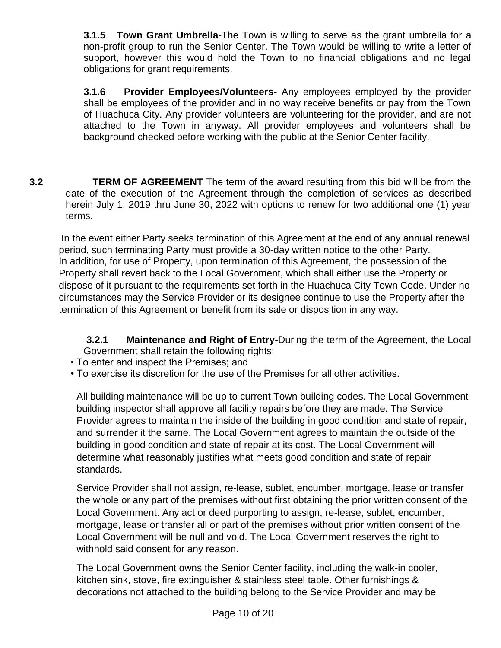**3.1.5 Town Grant Umbrella**-The Town is willing to serve as the grant umbrella for a non-profit group to run the Senior Center. The Town would be willing to write a letter of support, however this would hold the Town to no financial obligations and no legal obligations for grant requirements.

**3.1.6 Provider Employees/Volunteers-** Any employees employed by the provider shall be employees of the provider and in no way receive benefits or pay from the Town of Huachuca City. Any provider volunteers are volunteering for the provider, and are not attached to the Town in anyway. All provider employees and volunteers shall be background checked before working with the public at the Senior Center facility.

**3.2 TERM OF AGREEMENT** The term of the award resulting from this bid will be from the date of the execution of the Agreement through the completion of services as described herein July 1, 2019 thru June 30, 2022 with options to renew for two additional one (1) year terms.

In the event either Party seeks termination of this Agreement at the end of any annual renewal period, such terminating Party must provide a 30-day written notice to the other Party. In addition, for use of Property, upon termination of this Agreement, the possession of the Property shall revert back to the Local Government, which shall either use the Property or dispose of it pursuant to the requirements set forth in the Huachuca City Town Code. Under no circumstances may the Service Provider or its designee continue to use the Property after the termination of this Agreement or benefit from its sale or disposition in any way.

**3.2.1 Maintenance and Right of Entry-**During the term of the Agreement, the Local Government shall retain the following rights:

- To enter and inspect the Premises; and
- To exercise its discretion for the use of the Premises for all other activities.

All building maintenance will be up to current Town building codes. The Local Government building inspector shall approve all facility repairs before they are made. The Service Provider agrees to maintain the inside of the building in good condition and state of repair, and surrender it the same. The Local Government agrees to maintain the outside of the building in good condition and state of repair at its cost. The Local Government will determine what reasonably justifies what meets good condition and state of repair standards.

Service Provider shall not assign, re-lease, sublet, encumber, mortgage, lease or transfer the whole or any part of the premises without first obtaining the prior written consent of the Local Government. Any act or deed purporting to assign, re-lease, sublet, encumber, mortgage, lease or transfer all or part of the premises without prior written consent of the Local Government will be null and void. The Local Government reserves the right to withhold said consent for any reason.

The Local Government owns the Senior Center facility, including the walk-in cooler, kitchen sink, stove, fire extinguisher & stainless steel table. Other furnishings & decorations not attached to the building belong to the Service Provider and may be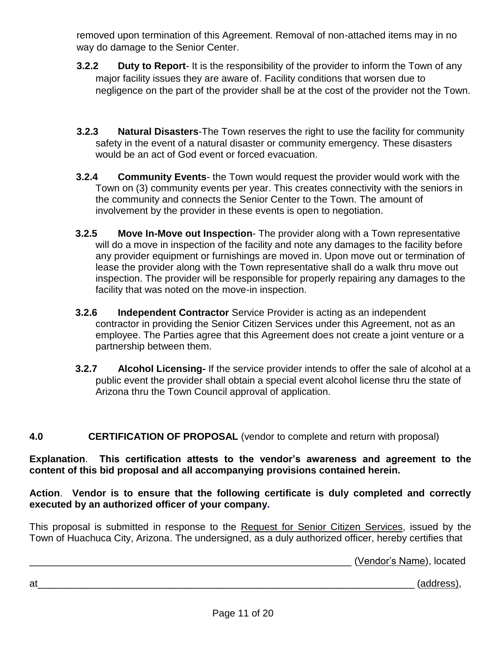removed upon termination of this Agreement. Removal of non-attached items may in no way do damage to the Senior Center.

- **3.2.2 Duty to Report** It is the responsibility of the provider to inform the Town of any major facility issues they are aware of. Facility conditions that worsen due to negligence on the part of the provider shall be at the cost of the provider not the Town.
- **3.2.3 Natural Disasters**-The Town reserves the right to use the facility for community safety in the event of a natural disaster or community emergency. These disasters would be an act of God event or forced evacuation.
- **3.2.4 Community Events** the Town would request the provider would work with the Town on (3) community events per year. This creates connectivity with the seniors in the community and connects the Senior Center to the Town. The amount of involvement by the provider in these events is open to negotiation.
- **3.2.5 Move In-Move out Inspection** The provider along with a Town representative will do a move in inspection of the facility and note any damages to the facility before any provider equipment or furnishings are moved in. Upon move out or termination of lease the provider along with the Town representative shall do a walk thru move out inspection. The provider will be responsible for properly repairing any damages to the facility that was noted on the move-in inspection.
- **3.2.6 Independent Contractor** Service Provider is acting as an independent contractor in providing the Senior Citizen Services under this Agreement, not as an employee. The Parties agree that this Agreement does not create a joint venture or a partnership between them.
- **3.2.7 Alcohol Licensing-** If the service provider intends to offer the sale of alcohol at a public event the provider shall obtain a special event alcohol license thru the state of Arizona thru the Town Council approval of application.

## **4.0 CERTIFICATION OF PROPOSAL** (vendor to complete and return with proposal)

**Explanation**. **This certification attests to the vendor's awareness and agreement to the content of this bid proposal and all accompanying provisions contained herein.**

## **Action**. **Vendor is to ensure that the following certificate is duly completed and correctly executed by an authorized officer of your company.**

This proposal is submitted in response to the Request for Senior Citizen Services, issued by the Town of Huachuca City, Arizona. The undersigned, as a duly authorized officer, hereby certifies that

\_\_\_\_\_\_\_\_\_\_\_\_\_\_\_\_\_\_\_\_\_\_\_\_\_\_\_\_\_\_\_\_\_\_\_\_\_\_\_\_\_\_\_\_\_\_\_\_\_\_\_\_\_\_\_\_\_\_\_ (Vendor's Name), located

at\_\_\_\_\_\_\_\_\_\_\_\_\_\_\_\_\_\_\_\_\_\_\_\_\_\_\_\_\_\_\_\_\_\_\_\_\_\_\_\_\_\_\_\_\_\_\_\_\_\_\_\_\_\_\_\_\_\_\_\_\_\_\_\_\_\_\_\_\_ (address),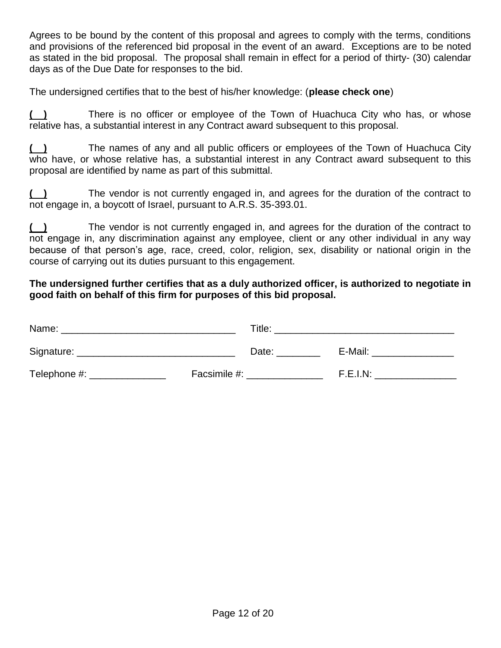Agrees to be bound by the content of this proposal and agrees to comply with the terms, conditions and provisions of the referenced bid proposal in the event of an award. Exceptions are to be noted as stated in the bid proposal. The proposal shall remain in effect for a period of thirty- (30) calendar days as of the Due Date for responses to the bid.

The undersigned certifies that to the best of his/her knowledge: (**please check one**)

**( )** There is no officer or employee of the Town of Huachuca City who has, or whose relative has, a substantial interest in any Contract award subsequent to this proposal.

**( )** The names of any and all public officers or employees of the Town of Huachuca City who have, or whose relative has, a substantial interest in any Contract award subsequent to this proposal are identified by name as part of this submittal.

**( )** The vendor is not currently engaged in, and agrees for the duration of the contract to not engage in, a boycott of Israel, pursuant to A.R.S. 35-393.01.

**( )** The vendor is not currently engaged in, and agrees for the duration of the contract to not engage in, any discrimination against any employee, client or any other individual in any way because of that person's age, race, creed, color, religion, sex, disability or national origin in the course of carrying out its duties pursuant to this engagement.

### **The undersigned further certifies that as a duly authorized officer, is authorized to negotiate in good faith on behalf of this firm for purposes of this bid proposal.**

| Name:        | Title:       |          |
|--------------|--------------|----------|
| Signature:   | Date:        | E-Mail:  |
| Telephone #: | Facsimile #: | F.E.I.N: |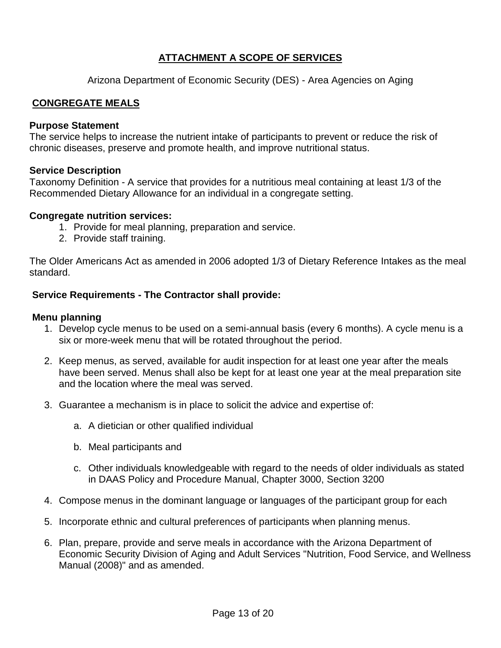## **ATTACHMENT A SCOPE OF SERVICES**

Arizona Department of Economic Security (DES) - Area Agencies on Aging

### **CONGREGATE MEALS**

#### **Purpose Statement**

The service helps to increase the nutrient intake of participants to prevent or reduce the risk of chronic diseases, preserve and promote health, and improve nutritional status.

### **Service Description**

Taxonomy Definition - A service that provides for a nutritious meal containing at least 1/3 of the Recommended Dietary Allowance for an individual in a congregate setting.

#### **Congregate nutrition services:**

- 1. Provide for meal planning, preparation and service.
- 2. Provide staff training.

The Older Americans Act as amended in 2006 adopted 1/3 of Dietary Reference Intakes as the meal standard.

### **Service Requirements - The Contractor shall provide:**

#### **Menu planning**

- 1. Develop cycle menus to be used on a semi-annual basis (every 6 months). A cycle menu is a six or more-week menu that will be rotated throughout the period.
- 2. Keep menus, as served, available for audit inspection for at least one year after the meals have been served. Menus shall also be kept for at least one year at the meal preparation site and the location where the meal was served.
- 3. Guarantee a mechanism is in place to solicit the advice and expertise of:
	- a. A dietician or other qualified individual
	- b. Meal participants and
	- c. Other individuals knowledgeable with regard to the needs of older individuals as stated in DAAS Policy and Procedure Manual, Chapter 3000, Section 3200
- 4. Compose menus in the dominant language or languages of the participant group for each
- 5. Incorporate ethnic and cultural preferences of participants when planning menus.
- 6. Plan, prepare, provide and serve meals in accordance with the Arizona Department of Economic Security Division of Aging and Adult Services "Nutrition, Food Service, and Wellness Manual (2008)" and as amended.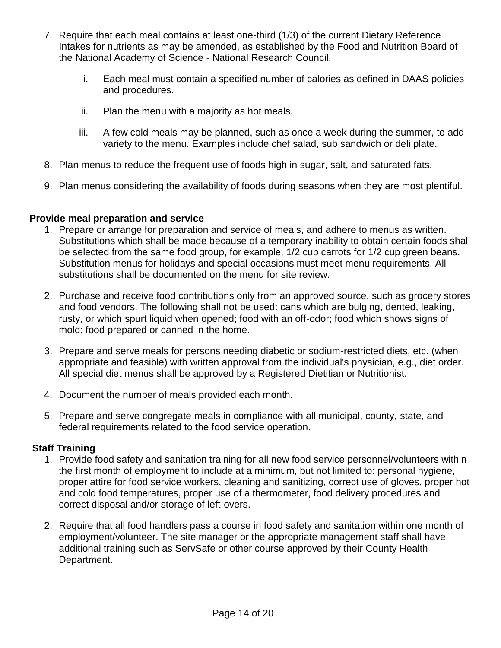- 7. Require that each meal contains at least one-third (1/3) of the current Dietary Reference Intakes for nutrients as may be amended, as established by the Food and Nutrition Board of the National Academy of Science - National Research Council.
	- i. Each meal must contain a specified number of calories as defined in DAAS policies and procedures.
	- ii. Plan the menu with a majority as hot meals.
	- iii. A few cold meals may be planned, such as once a week during the summer, to add variety to the menu. Examples include chef salad, sub sandwich or deli plate.
- 8. Plan menus to reduce the frequent use of foods high in sugar, salt, and saturated fats.
- 9. Plan menus considering the availability of foods during seasons when they are most plentiful.

### **Provide meal preparation and service**

- 1. Prepare or arrange for preparation and service of meals, and adhere to menus as written. Substitutions which shall be made because of a temporary inability to obtain certain foods shall be selected from the same food group, for example, 1/2 cup carrots for 1/2 cup green beans. Substitution menus for holidays and special occasions must meet menu requirements. All substitutions shall be documented on the menu for site review.
- 2. Purchase and receive food contributions only from an approved source, such as grocery stores and food vendors. The following shall not be used: cans which are bulging, dented, leaking, rusty, or which spurt liquid when opened; food with an off-odor; food which shows signs of mold; food prepared or canned in the home.
- 3. Prepare and serve meals for persons needing diabetic or sodium-restricted diets, etc. (when appropriate and feasible) with written approval from the individual's physician, e.g., diet order. All special diet menus shall be approved by a Registered Dietitian or Nutritionist.
- 4. Document the number of meals provided each month.
- 5. Prepare and serve congregate meals in compliance with all municipal, county, state, and federal requirements related to the food service operation.

### **Staff Training**

- 1. Provide food safety and sanitation training for all new food service personnel/volunteers within the first month of employment to include at a minimum, but not limited to: personal hygiene, proper attire for food service workers, cleaning and sanitizing, correct use of gloves, proper hot and cold food temperatures, proper use of a thermometer, food delivery procedures and correct disposal and/or storage of left-overs.
- 2. Require that all food handlers pass a course in food safety and sanitation within one month of employment/volunteer. The site manager or the appropriate management staff shall have additional training such as ServSafe or other course approved by their County Health Department.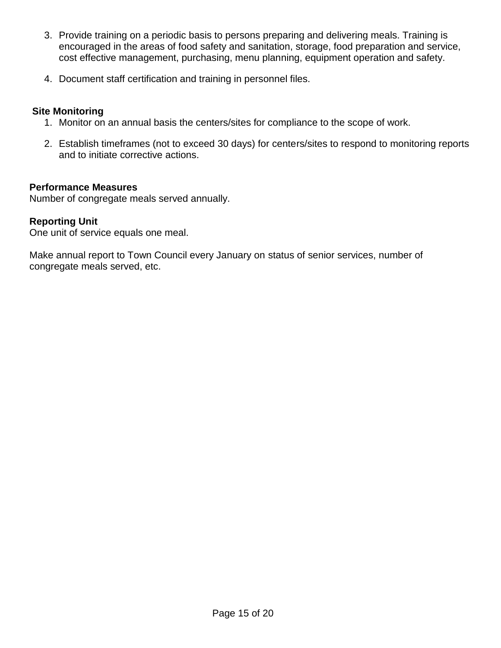- 3. Provide training on a periodic basis to persons preparing and delivering meals. Training is encouraged in the areas of food safety and sanitation, storage, food preparation and service, cost effective management, purchasing, menu planning, equipment operation and safety.
- 4. Document staff certification and training in personnel files.

## **Site Monitoring**

- 1. Monitor on an annual basis the centers/sites for compliance to the scope of work.
- 2. Establish timeframes (not to exceed 30 days) for centers/sites to respond to monitoring reports and to initiate corrective actions.

### **Performance Measures**

Number of congregate meals served annually.

### **Reporting Unit**

One unit of service equals one meal.

Make annual report to Town Council every January on status of senior services, number of congregate meals served, etc.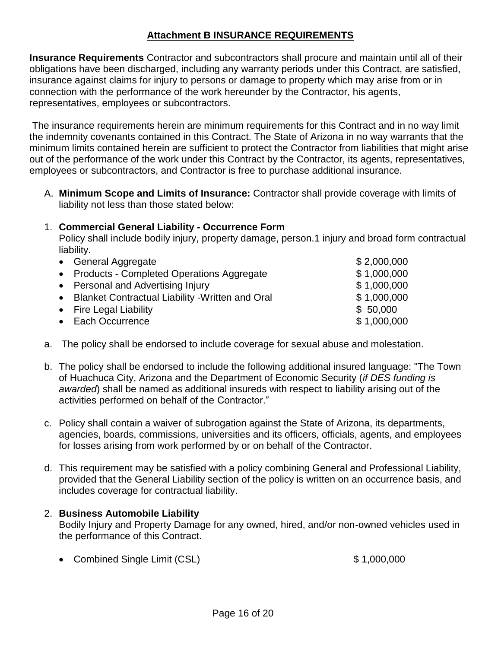## **Attachment B INSURANCE REQUIREMENTS**

**Insurance Requirements** Contractor and subcontractors shall procure and maintain until all of their obligations have been discharged, including any warranty periods under this Contract, are satisfied, insurance against claims for injury to persons or damage to property which may arise from or in connection with the performance of the work hereunder by the Contractor, his agents, representatives, employees or subcontractors.

The insurance requirements herein are minimum requirements for this Contract and in no way limit the indemnity covenants contained in this Contract. The State of Arizona in no way warrants that the minimum limits contained herein are sufficient to protect the Contractor from liabilities that might arise out of the performance of the work under this Contract by the Contractor, its agents, representatives, employees or subcontractors, and Contractor is free to purchase additional insurance.

A. **Minimum Scope and Limits of Insurance:** Contractor shall provide coverage with limits of liability not less than those stated below:

## 1. **Commercial General Liability - Occurrence Form**

Policy shall include bodily injury, property damage, person.1 injury and broad form contractual liability.

| • General Aggregate                                | \$2,000,000 |
|----------------------------------------------------|-------------|
| • Products - Completed Operations Aggregate        | \$1,000,000 |
| • Personal and Advertising Injury                  | \$1,000,000 |
| • Blanket Contractual Liability - Written and Oral | \$1,000,000 |
| • Fire Legal Liability                             | \$50,000    |
| • Each Occurrence                                  | \$1,000,000 |
|                                                    |             |

- a. The policy shall be endorsed to include coverage for sexual abuse and molestation.
- b. The policy shall be endorsed to include the following additional insured language: "The Town of Huachuca City, Arizona and the Department of Economic Security (*if DES funding is awarded*) shall be named as additional insureds with respect to liability arising out of the activities performed on behalf of the Contractor."
- c. Policy shall contain a waiver of subrogation against the State of Arizona, its departments, agencies, boards, commissions, universities and its officers, officials, agents, and employees for losses arising from work performed by or on behalf of the Contractor.
- d. This requirement may be satisfied with a policy combining General and Professional Liability, provided that the General Liability section of the policy is written on an occurrence basis, and includes coverage for contractual liability.

### 2. **Business Automobile Liability**

Bodily Injury and Property Damage for any owned, hired, and/or non-owned vehicles used in the performance of this Contract.

• Combined Single Limit (CSL) \$ 1,000,000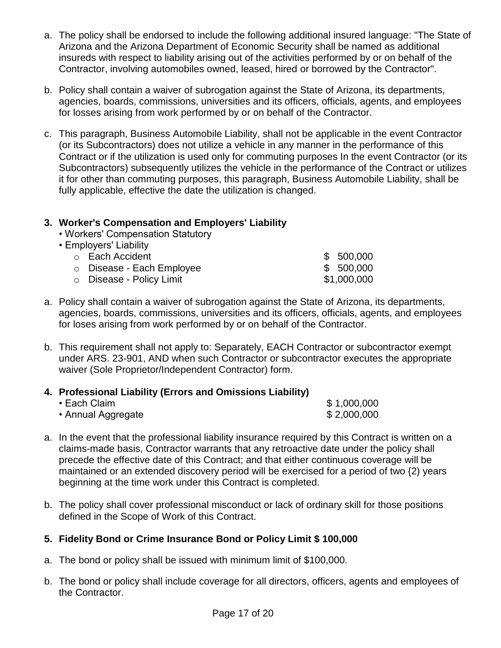- a. The policy shall be endorsed to include the following additional insured language: "The State of Arizona and the Arizona Department of Economic Security shall be named as additional insureds with respect to liability arising out of the activities performed by or on behalf of the Contractor, involving automobiles owned, leased, hired or borrowed by the Contractor".
- b. Policy shall contain a waiver of subrogation against the State of Arizona, its departments, agencies, boards, commissions, universities and its officers, officials, agents, and employees for losses arising from work performed by or on behalf of the Contractor.
- c. This paragraph, Business Automobile Liability, shall not be applicable in the event Contractor (or its Subcontractors) does not utilize a vehicle in any manner in the performance of this Contract or if the utilization is used only for commuting purposes In the event Contractor (or its Subcontractors) subsequently utilizes the vehicle in the performance of the Contract or utilizes it for other than commuting purposes, this paragraph, Business Automobile Liability, shall be fully applicable, effective the date the utilization is changed.

## **3. Worker's Compensation and Employers' Liability**

- Workers' Compensation Statutory
- Employers' Liability

| ○ Each Accident           | \$500,000   |
|---------------------------|-------------|
| ○ Disease - Each Employee | \$500,000   |
| ○ Disease - Policy Limit  | \$1,000,000 |

- a. Policy shall contain a waiver of subrogation against the State of Arizona, its departments, agencies, boards, commissions, universities and its officers, officials, agents, and employees for loses arising from work performed by or on behalf of the Contractor.
- b. This requirement shall not apply to: Separately, EACH Contractor or subcontractor exempt under ARS. 23-901, AND when such Contractor or subcontractor executes the appropriate waiver (Sole Proprietor/Independent Contractor) form.

## **4. Professional Liability (Errors and Omissions Liability)**

| $\cdot$ Each Claim | \$1,000,000 |
|--------------------|-------------|
| • Annual Aggregate | \$2,000,000 |

- a. In the event that the professional liability insurance required by this Contract is written on a claims-made basis, Contractor warrants that any retroactive date under the policy shall precede the effective date of this Contract; and that either continuous coverage will be maintained or an extended discovery period will be exercised for a period of two {2) years beginning at the time work under this Contract is completed.
- b. The policy shall cover professional misconduct or lack of ordinary skill for those positions defined in the Scope of Work of this Contract.

## **5. Fidelity Bond or Crime Insurance Bond or Policy Limit \$ 100,000**

- a. The bond or policy shall be issued with minimum limit of \$100,000.
- b. The bond or policy shall include coverage for all directors, officers, agents and employees of the Contractor.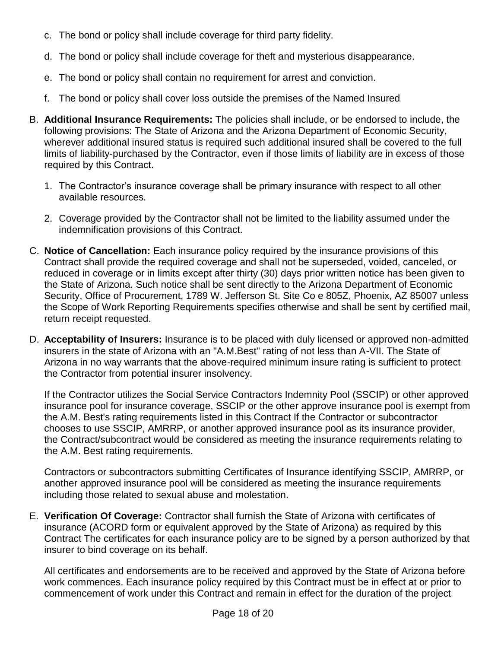- c. The bond or policy shall include coverage for third party fidelity.
- d. The bond or policy shall include coverage for theft and mysterious disappearance.
- e. The bond or policy shall contain no requirement for arrest and conviction.
- f. The bond or policy shall cover loss outside the premises of the Named Insured
- B. **Additional Insurance Requirements:** The policies shall include, or be endorsed to include, the following provisions: The State of Arizona and the Arizona Department of Economic Security, wherever additional insured status is required such additional insured shall be covered to the full limits of liability-purchased by the Contractor, even if those limits of liability are in excess of those required by this Contract.
	- 1. The Contractor's insurance coverage shall be primary insurance with respect to all other available resources.
	- 2. Coverage provided by the Contractor shall not be limited to the liability assumed under the indemnification provisions of this Contract.
- C. **Notice of Cancellation:** Each insurance policy required by the insurance provisions of this Contract shall provide the required coverage and shall not be superseded, voided, canceled, or reduced in coverage or in limits except after thirty (30) days prior written notice has been given to the State of Arizona. Such notice shall be sent directly to the Arizona Department of Economic Security, Office of Procurement, 1789 W. Jefferson St. Site Co e 805Z, Phoenix, AZ 85007 unless the Scope of Work Reporting Requirements specifies otherwise and shall be sent by certified mail, return receipt requested.
- D. **Acceptability of Insurers:** Insurance is to be placed with duly licensed or approved non-admitted insurers in the state of Arizona with an "A.M.Best" rating of not less than A-VII. The State of Arizona in no way warrants that the above-required minimum insure rating is sufficient to protect the Contractor from potential insurer insolvency.

If the Contractor utilizes the Social Service Contractors Indemnity Pool (SSCIP) or other approved insurance pool for insurance coverage, SSCIP or the other approve insurance pool is exempt from the A.M. Best's rating requirements listed in this Contract If the Contractor or subcontractor chooses to use SSCIP, AMRRP, or another approved insurance pool as its insurance provider, the Contract/subcontract would be considered as meeting the insurance requirements relating to the A.M. Best rating requirements.

Contractors or subcontractors submitting Certificates of Insurance identifying SSCIP, AMRRP, or another approved insurance pool will be considered as meeting the insurance requirements including those related to sexual abuse and molestation.

E. **Verification Of Coverage:** Contractor shall furnish the State of Arizona with certificates of insurance (ACORD form or equivalent approved by the State of Arizona) as required by this Contract The certificates for each insurance policy are to be signed by a person authorized by that insurer to bind coverage on its behalf.

All certificates and endorsements are to be received and approved by the State of Arizona before work commences. Each insurance policy required by this Contract must be in effect at or prior to commencement of work under this Contract and remain in effect for the duration of the project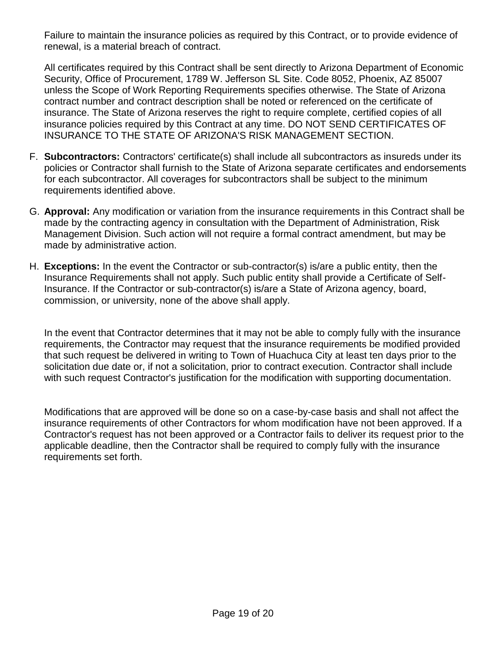Failure to maintain the insurance policies as required by this Contract, or to provide evidence of renewal, is a material breach of contract.

All certificates required by this Contract shall be sent directly to Arizona Department of Economic Security, Office of Procurement, 1789 W. Jefferson SL Site. Code 8052, Phoenix, AZ 85007 unless the Scope of Work Reporting Requirements specifies otherwise. The State of Arizona contract number and contract description shall be noted or referenced on the certificate of insurance. The State of Arizona reserves the right to require complete, certified copies of all insurance policies required by this Contract at any time. DO NOT SEND CERTIFICATES OF INSURANCE TO THE STATE OF ARIZONA'S RISK MANAGEMENT SECTION.

- F. **Subcontractors:** Contractors' certificate(s) shall include all subcontractors as insureds under its policies or Contractor shall furnish to the State of Arizona separate certificates and endorsements for each subcontractor. All coverages for subcontractors shall be subject to the minimum requirements identified above.
- G. **Approval:** Any modification or variation from the insurance requirements in this Contract shall be made by the contracting agency in consultation with the Department of Administration, Risk Management Division. Such action will not require a formal contract amendment, but may be made by administrative action.
- H. **Exceptions:** In the event the Contractor or sub-contractor(s) is/are a public entity, then the Insurance Requirements shall not apply. Such public entity shall provide a Certificate of Self-Insurance. If the Contractor or sub-contractor(s) is/are a State of Arizona agency, board, commission, or university, none of the above shall apply.

In the event that Contractor determines that it may not be able to comply fully with the insurance requirements, the Contractor may request that the insurance requirements be modified provided that such request be delivered in writing to Town of Huachuca City at least ten days prior to the solicitation due date or, if not a solicitation, prior to contract execution. Contractor shall include with such request Contractor's justification for the modification with supporting documentation.

Modifications that are approved will be done so on a case-by-case basis and shall not affect the insurance requirements of other Contractors for whom modification have not been approved. If a Contractor's request has not been approved or a Contractor fails to deliver its request prior to the applicable deadline, then the Contractor shall be required to comply fully with the insurance requirements set forth.